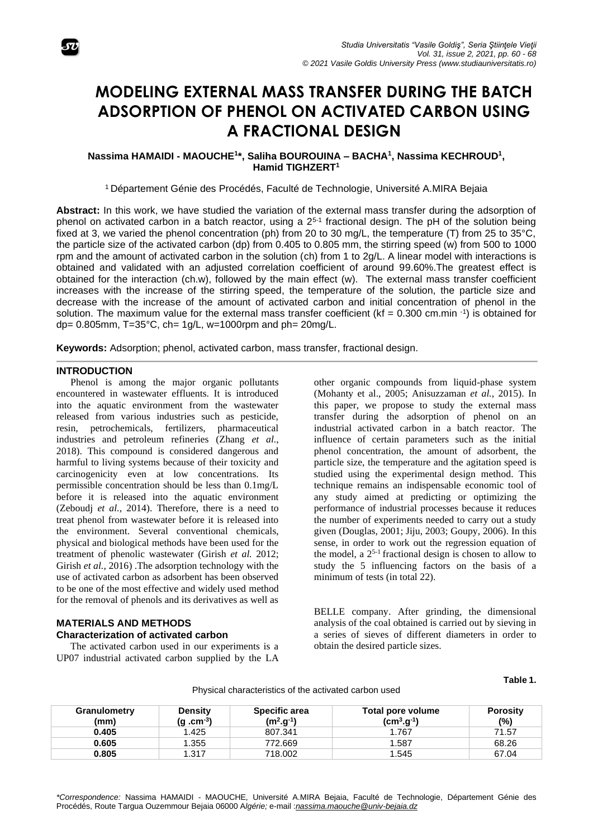

# **MODELING EXTERNAL MASS TRANSFER DURING THE BATCH ADSORPTION OF PHENOL ON ACTIVATED CARBON USING A FRACTIONAL DESIGN**

## **Nassima HAMAIDI - MAOUCHE<sup>1</sup> \*, Saliha BOUROUINA – BACHA<sup>1</sup> , Nassima KECHROUD<sup>1</sup> , Hamid TIGHZERT<sup>1</sup>**

<sup>1</sup> Département Génie des Procédés, Faculté de Technologie, Université A.MIRA Bejaia

**Abstract:** In this work, we have studied the variation of the external mass transfer during the adsorption of phenol on activated carbon in a batch reactor, using a  $2^{5-1}$  fractional design. The pH of the solution being fixed at 3, we varied the phenol concentration (ph) from 20 to 30 mg/L, the temperature (T) from 25 to 35°C, the particle size of the activated carbon (dp) from 0.405 to 0.805 mm, the stirring speed (w) from 500 to 1000 rpm and the amount of activated carbon in the solution (ch) from 1 to 2g/L. A linear model with interactions is obtained and validated with an adjusted correlation coefficient of around 99.60%.The greatest effect is obtained for the interaction (ch.w), followed by the main effect (w). The external mass transfer coefficient increases with the increase of the stirring speed, the temperature of the solution, the particle size and decrease with the increase of the amount of activated carbon and initial concentration of phenol in the solution. The maximum value for the external mass transfer coefficient ( $kf = 0.300$  cm.min  $-1$ ) is obtained for dp=  $0.805$ mm, T= $35^{\circ}$ C, ch= 1g/L, w=1000rpm and ph=  $20$ mg/L.

**Keywords:** Adsorption; phenol, activated carbon, mass transfer, fractional design.

## **INTRODUCTION**

Phenol is among the major organic pollutants encountered in wastewater effluents. It is introduced into the aquatic environment from the wastewater released from various industries such as pesticide, resin, petrochemicals, fertilizers, pharmaceutical industries and petroleum refineries (Zhang *et al.*, 2018). This compound is considered dangerous and harmful to living systems because of their toxicity and carcinogenicity even at low concentrations. Its permissible concentration should be less than 0.1mg/L before it is released into the aquatic environment (Zeboudj *et al.*, 2014). Therefore, there is a need to treat phenol from wastewater before it is released into the environment. Several conventional chemicals, physical and biological methods have been used for the treatment of phenolic wastewater (Girish *et al.* 2012; Girish *et al.*, 2016) .The adsorption technology with the use of activated carbon as adsorbent has been observed to be one of the most effective and widely used method for the removal of phenols and its derivatives as well as

### **MATERIALS AND METHODS Characterization of activated carbon**

The activated carbon used in our experiments is a UP07 industrial activated carbon supplied by the LA

other organic compounds from liquid-phase system (Mohanty et al., 2005; Anisuzzaman *et al.*, 2015). In this paper, we propose to study the external mass transfer during the adsorption of phenol on an industrial activated carbon in a batch reactor. The influence of certain parameters such as the initial phenol concentration, the amount of adsorbent, the particle size, the temperature and the agitation speed is studied using the experimental design method. This technique remains an indispensable economic tool of any study aimed at predicting or optimizing the performance of industrial processes because it reduces the number of experiments needed to carry out a study given (Douglas, 2001; Jiju, 2003; Goupy, 2006). In this sense, in order to work out the regression equation of the model, a  $2^{5-1}$  fractional design is chosen to allow to study the 5 influencing factors on the basis of a minimum of tests (in total 22).

BELLE company. After grinding, the dimensional analysis of the coal obtained is carried out by sieving in a series of sieves of different diameters in order to obtain the desired particle sizes.

**Table 1.**

| Granulometry<br>(mm) | <b>Density</b><br>$(g.cm^{-3})$ | <b>Specific area</b><br>$(m2.g-1)$ | Total pore volume<br>$(cm3.g-1)$ | <b>Porosity</b><br>(%) |
|----------------------|---------------------------------|------------------------------------|----------------------------------|------------------------|
| 0.405                | 1.425                           | 807.341                            | 1.767                            | 71.57                  |
| 0.605                | 1.355                           | 772.669                            | 1.587                            | 68.26                  |
| 0.805                | 1.317                           | 718.002                            | 1.545                            | 67.04                  |

Physical characteristics of the activated carbon used

*\*Correspondence:* Nassima HAMAIDI - MAOUCHE*,* Université A.MIRA Bejaia, Faculté de Technologie, Département Génie des Procédés, Route Targua Ouzemmour Bejaia 06000 A*lgérie;* e-mail :*[nassima.maouche@univ-bejaia.dz](mailto:nmaouche@gmail.com)*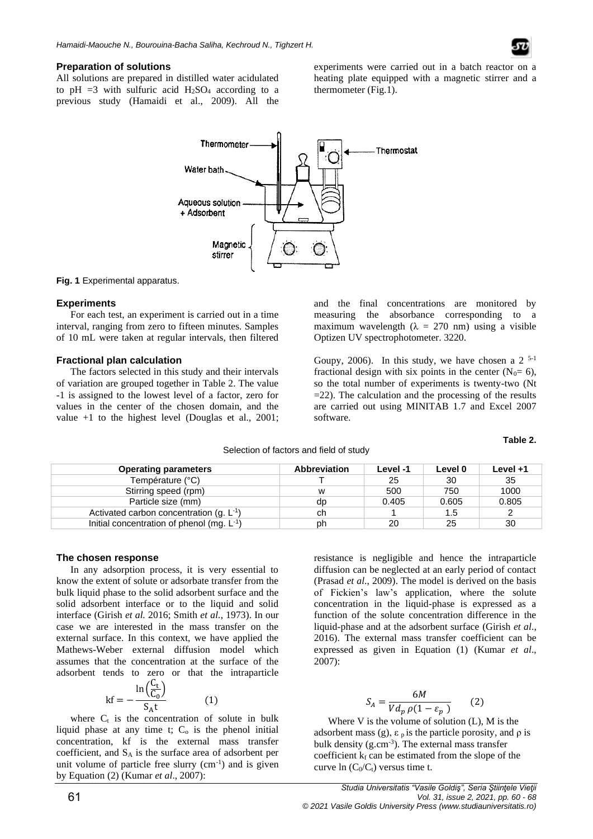#### **Preparation of solutions**

All solutions are prepared in distilled water acidulated to pH =3 with sulfuric acid  $H_2SO_4$  according to a previous study (Hamaidi et al., 2009). All the experiments were carried out in a batch reactor on a heating plate equipped with a magnetic stirrer and a thermometer (Fig.1).



**Fig. 1** Experimental apparatus.

#### **Experiments**

For each test, an experiment is carried out in a time interval, ranging from zero to fifteen minutes. Samples of 10 mL were taken at regular intervals, then filtered

#### **Fractional plan calculation**

The factors selected in this study and their intervals of variation are grouped together in Table 2. The value -1 is assigned to the lowest level of a factor, zero for values in the center of the chosen domain, and the value +1 to the highest level (Douglas et al., 2001; and the final concentrations are monitored by measuring the absorbance corresponding to a maximum wavelength ( $\lambda = 270$  nm) using a visible Optizen UV spectrophotometer. 3220.

Goupy, 2006). In this study, we have chosen a  $2^{5-1}$ fractional design with six points in the center  $(N_0=6)$ , so the total number of experiments is twenty-two (Nt  $=$  22). The calculation and the processing of the results are carried out using MINITAB 1.7 and Excel 2007 software.

**Table 2.**

| Selection of factors and field of study |  |
|-----------------------------------------|--|
|-----------------------------------------|--|

| <b>Operating parameters</b>                     | <b>Abbreviation</b> | Level -1 | Level 0 | Level +1 |
|-------------------------------------------------|---------------------|----------|---------|----------|
| Température (°C)                                |                     | 25       | 30      | 35       |
| Stirring speed (rpm)                            | w                   | 500      | 750     | 1000     |
| Particle size (mm)                              | dp                  | 0.405    | 0.605   | 0.805    |
| Activated carbon concentration $(q, L^{-1})$    | ch                  |          | 1.5     |          |
| Initial concentration of phenol (mg. $L^{-1}$ ) | ph                  | 20       | 25      | 30       |

#### **The chosen response**

In any adsorption process, it is very essential to know the extent of solute or adsorbate transfer from the bulk liquid phase to the solid adsorbent surface and the solid adsorbent interface or to the liquid and solid interface (Girish *et al.* 2016; Smith *et al.*, 1973). In our case we are interested in the mass transfer on the external surface. In this context, we have applied the Mathews-Weber external diffusion model which assumes that the concentration at the surface of the adsorbent tends to zero or that the intraparticle

$$
kf = -\frac{\ln\left(\frac{C_t}{C_0}\right)}{S_A t} \tag{1}
$$

where  $C_t$  is the concentration of solute in bulk liquid phase at any time t;  $C<sub>o</sub>$  is the phenol initial concentration, kf is the external mass transfer coefficient, and  $S_A$  is the surface area of adsorbent per unit volume of particle free slurry  $(cm<sup>-1</sup>)$  and is given by Equation (2) (Kumar *et al*., 2007):

resistance is negligible and hence the intraparticle diffusion can be neglected at an early period of contact (Prasad *et al*., 2009). The model is derived on the basis of Fickien's law's application, where the solute concentration in the liquid-phase is expressed as a function of the solute concentration difference in the liquid-phase and at the adsorbent surface (Girish *et al*., 2016). The external mass transfer coefficient can be expressed as given in Equation (1) (Kumar *et al*., 2007):

$$
S_A = \frac{6M}{V d_p \rho (1 - \varepsilon_p)}\tag{2}
$$

Where V is the volume of solution (L), M is the adsorbent mass (g),  $\varepsilon_p$  is the particle porosity, and  $\rho$  is bulk density (g.cm<sup>-3</sup>). The external mass transfer coefficient  $k_f$  can be estimated from the slope of the curve ln  $(C_0/C_t)$  versus time t.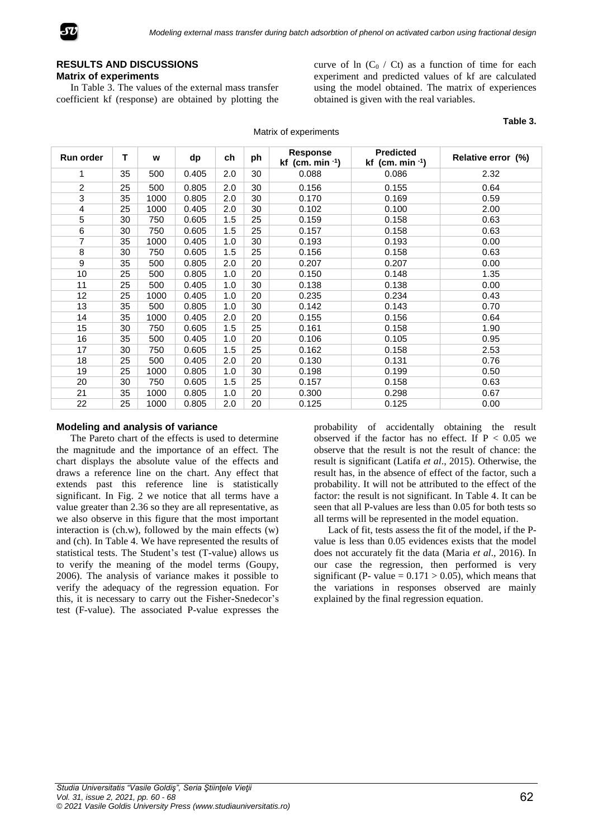

## **RESULTS AND DISCUSSIONS Matrix of experiments**

In Table 3. The values of the external mass transfer coefficient kf (response) are obtained by plotting the curve of ln  $(C_0 / C_t)$  as a function of time for each experiment and predicted values of kf are calculated using the model obtained. The matrix of experiences obtained is given with the real variables.

| <b>Run order</b> | т  | w    | dp    | ch  | ph | <b>Response</b><br>kf (cm. min $-1$ ) | <b>Predicted</b><br>kf (cm. min $-1$ ) | Relative error (%) |
|------------------|----|------|-------|-----|----|---------------------------------------|----------------------------------------|--------------------|
| 1                | 35 | 500  | 0.405 | 2.0 | 30 | 0.088                                 | 0.086                                  | 2.32               |
| $\overline{2}$   | 25 | 500  | 0.805 | 2.0 | 30 | 0.156                                 | 0.155                                  | 0.64               |
| $\overline{3}$   | 35 | 1000 | 0.805 | 2.0 | 30 | 0.170                                 | 0.169                                  | 0.59               |
| $\overline{4}$   | 25 | 1000 | 0.405 | 2.0 | 30 | 0.102                                 | 0.100                                  | 2.00               |
| 5                | 30 | 750  | 0.605 | 1.5 | 25 | 0.159                                 | 0.158                                  | 0.63               |
| 6                | 30 | 750  | 0.605 | 1.5 | 25 | 0.157                                 | 0.158                                  | 0.63               |
| $\overline{7}$   | 35 | 1000 | 0.405 | 1.0 | 30 | 0.193                                 | 0.193                                  | 0.00               |
| 8                | 30 | 750  | 0.605 | 1.5 | 25 | 0.156                                 | 0.158                                  | 0.63               |
| 9                | 35 | 500  | 0.805 | 2.0 | 20 | 0.207                                 | 0.207                                  | 0.00               |
| 10               | 25 | 500  | 0.805 | 1.0 | 20 | 0.150                                 | 0.148                                  | 1.35               |
| 11               | 25 | 500  | 0.405 | 1.0 | 30 | 0.138                                 | 0.138                                  | 0.00               |
| 12               | 25 | 1000 | 0.405 | 1.0 | 20 | 0.235                                 | 0.234                                  | 0.43               |
| 13               | 35 | 500  | 0.805 | 1.0 | 30 | 0.142                                 | 0.143                                  | 0.70               |
| 14               | 35 | 1000 | 0.405 | 2.0 | 20 | 0.155                                 | 0.156                                  | 0.64               |
| 15               | 30 | 750  | 0.605 | 1.5 | 25 | 0.161                                 | 0.158                                  | 1.90               |
| 16               | 35 | 500  | 0.405 | 1.0 | 20 | 0.106                                 | 0.105                                  | 0.95               |
| 17               | 30 | 750  | 0.605 | 1.5 | 25 | 0.162                                 | 0.158                                  | 2.53               |
| 18               | 25 | 500  | 0.405 | 2.0 | 20 | 0.130                                 | 0.131                                  | 0.76               |
| 19               | 25 | 1000 | 0.805 | 1.0 | 30 | 0.198                                 | 0.199                                  | 0.50               |
| 20               | 30 | 750  | 0.605 | 1.5 | 25 | 0.157                                 | 0.158                                  | 0.63               |
| 21               | 35 | 1000 | 0.805 | 1.0 | 20 | 0.300                                 | 0.298                                  | 0.67               |
| 22               | 25 | 1000 | 0.805 | 2.0 | 20 | 0.125                                 | 0.125                                  | 0.00               |

#### **Modeling and analysis of variance**

The Pareto chart of the effects is used to determine the magnitude and the importance of an effect. The chart displays the absolute value of the effects and draws a reference line on the chart. Any effect that extends past this reference line is statistically significant. In Fig. 2 we notice that all terms have a value greater than 2.36 so they are all representative, as we also observe in this figure that the most important interaction is (ch.w), followed by the main effects (w) and (ch). In Table 4. We have represented the results of statistical tests. The Student's test (T-value) allows us to verify the meaning of the model terms (Goupy, 2006). The analysis of variance makes it possible to verify the adequacy of the regression equation. For this, it is necessary to carry out the Fisher-Snedecor's test (F-value). The associated P-value expresses the

probability of accidentally obtaining the result observed if the factor has no effect. If  $P < 0.05$  we observe that the result is not the result of chance: the result is significant (Latifa *et al*., 2015). Otherwise, the result has, in the absence of effect of the factor, such a probability. It will not be attributed to the effect of the factor: the result is not significant. In Table 4. It can be seen that all P-values are less than 0.05 for both tests so all terms will be represented in the model equation.

Lack of fit, tests assess the fit of the model, if the Pvalue is less than 0.05 evidences exists that the model does not accurately fit the data (Maria *et al*., 2016). In our case the regression, then performed is very significant (P- value =  $0.171 > 0.05$ ), which means that the variations in responses observed are mainly explained by the final regression equation.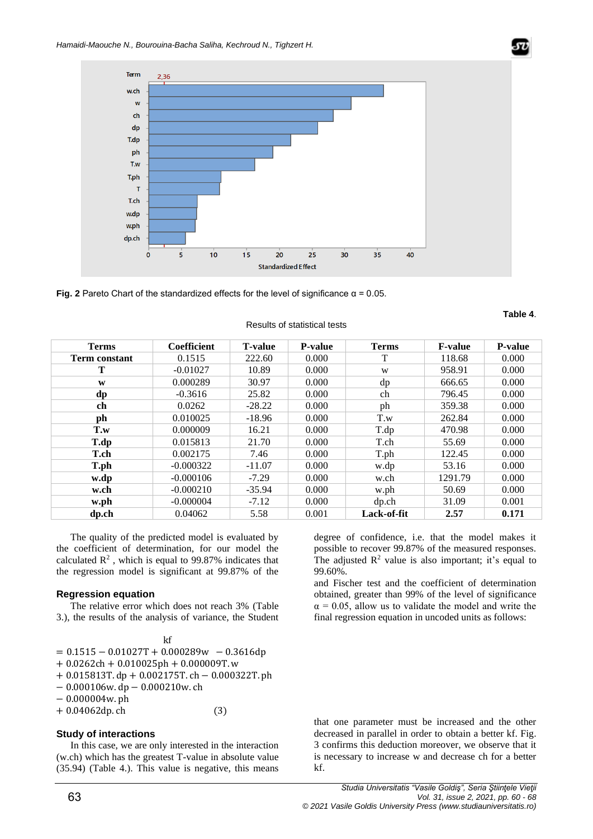

**Fig. 2** Pareto Chart of the standardized effects for the level of significance  $\alpha$  = 0.05.

| <b>Terms</b>  | Coefficient | <b>T-value</b> | <b>P-value</b> | <b>Terms</b> | <b>F-value</b> | <b>P-value</b> |
|---------------|-------------|----------------|----------------|--------------|----------------|----------------|
| Term constant | 0.1515      | 222.60         | 0.000          | т            | 118.68         | 0.000          |
| Т             | $-0.01027$  | 10.89          | 0.000          | W            | 958.91         | 0.000          |
| W             | 0.000289    | 30.97          | 0.000          | dp           | 666.65         | 0.000          |
| dp            | $-0.3616$   | 25.82          | 0.000          | ch           | 796.45         | 0.000          |
| ch            | 0.0262      | $-28.22$       | 0.000          | ph           | 359.38         | 0.000          |
| ph            | 0.010025    | $-18.96$       | 0.000          | T.w          | 262.84         | 0.000          |
| T.w           | 0.000009    | 16.21          | 0.000          | T.dp         | 470.98         | 0.000          |
| T.dp          | 0.015813    | 21.70          | 0.000          | T.ch         | 55.69          | 0.000          |
| T.ch          | 0.002175    | 7.46           | 0.000          | T.ph         | 122.45         | 0.000          |
| T.ph          | $-0.000322$ | $-11.07$       | 0.000          | w.dp         | 53.16          | 0.000          |
| w.dp          | $-0.000106$ | $-7.29$        | 0.000          | w.ch         | 1291.79        | 0.000          |
| w.ch          | $-0.000210$ | $-35.94$       | 0.000          | w.ph         | 50.69          | 0.000          |
| w.ph          | $-0.000004$ | $-7.12$        | 0.000          | dp.ch        | 31.09          | 0.001          |
| dp.ch         | 0.04062     | 5.58           | 0.001          | Lack-of-fit  | 2.57           | 0.171          |

#### Results of statistical tests

The quality of the predicted model is evaluated by the coefficient of determination, for our model the calculated  $\mathbb{R}^2$ , which is equal to 99.87% indicates that the regression model is significant at 99.87% of the

### **Regression equation**

The relative error which does not reach 3% (Table 3.), the results of the analysis of variance, the Student

| kf                                             |     |
|------------------------------------------------|-----|
| $= 0.1515 - 0.01027T + 0.000289W - 0.3616dp$   |     |
| $+0.0262ch + 0.010025ph + 0.000009T$ . w       |     |
| $+0.015813T$ .dp + 0.002175T.ch - 0.000322T.ph |     |
| $-0.000106$ w.dp $-0.000210$ w.ch              |     |
| $-0.000004$ w.ph                               |     |
| $+0.04062dp.$ ch                               | (3) |
|                                                |     |

### **Study of interactions**

In this case, we are only interested in the interaction (w.ch) which has the greatest T-value in absolute value (35.94) (Table 4.). This value is negative, this means degree of confidence, i.e. that the model makes it possible to recover 99.87% of the measured responses. The adjusted  $\mathbb{R}^2$  value is also important; it's equal to 99.60%.

and Fischer test and the coefficient of determination obtained, greater than 99% of the level of significance  $\alpha$  = 0.05, allow us to validate the model and write the final regression equation in uncoded units as follows:

that one parameter must be increased and the other decreased in parallel in order to obtain a better kf. Fig. 3 confirms this deduction moreover, we observe that it is necessary to increase w and decrease ch for a better kf.

**Table 4**.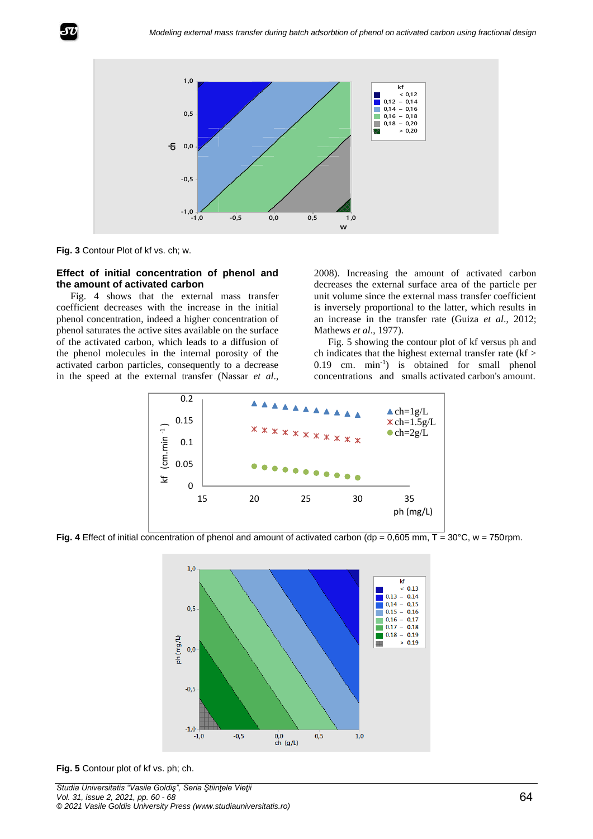

**Fig. 3** Contour Plot of kf vs. ch; w.

#### **Effect of initial concentration of phenol and the amount of activated carbon**

Fig. 4 shows that the external mass transfer coefficient decreases with the increase in the initial phenol concentration, indeed a higher concentration of phenol saturates the active sites available on the surface of the activated carbon, which leads to a diffusion of the phenol molecules in the internal porosity of the activated carbon particles, consequently to a decrease in the speed at the external transfer (Nassar *et al*.,

2008). Increasing the amount of activated carbon decreases the external surface area of the particle per unit volume since the external mass transfer coefficient is inversely proportional to the latter, which results in an increase in the transfer rate (Guiza *et al*., 2012; Mathews *et al*., 1977).

Fig. 5 showing the contour plot of kf versus ph and ch indicates that the highest external transfer rate (kf > 0.19 cm. min-1 ) is obtained for small phenol concentrations and smalls activated carbon's amount.



**Fig. 4** Effect of initial concentration of phenol and amount of activated carbon (dp =  $0.605$  mm,  $T = 30^{\circ}$ C, w = 750rpm.



**Fig. 5** Contour plot of kf vs. ph; ch.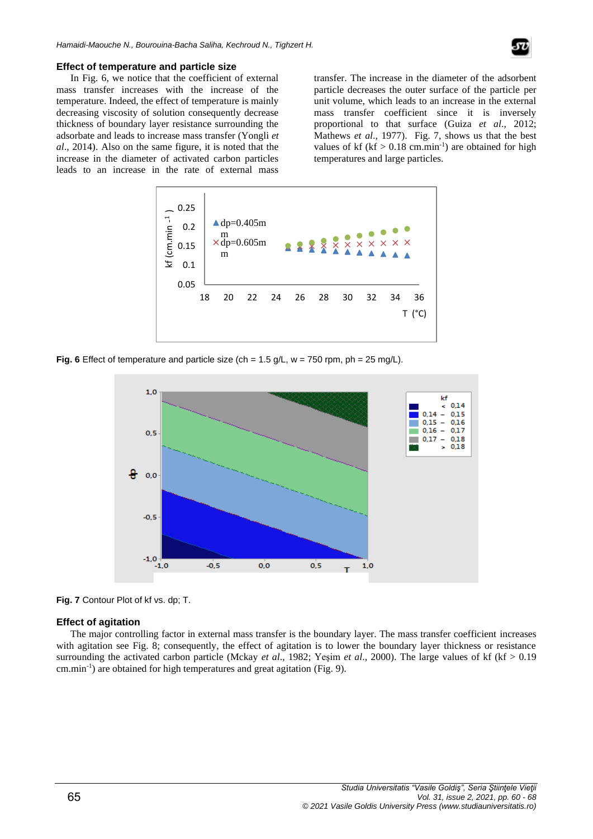

#### **Effect of temperature and particle size**

In Fig. 6, we notice that the coefficient of external mass transfer increases with the increase of the temperature. Indeed, the effect of temperature is mainly decreasing viscosity of solution consequently decrease thickness of boundary layer resistance surrounding the adsorbate and leads to increase mass transfer (Yongli *et al*., 2014). Also on the same figure, it is noted that the increase in the diameter of activated carbon particles leads to an increase in the rate of external mass

transfer. The increase in the diameter of the adsorbent particle decreases the outer surface of the particle per unit volume, which leads to an increase in the external mass transfer coefficient since it is inversely proportional to that surface (Guiza *et al*., 2012; Mathews *et al*., 1977). Fig. 7, shows us that the best values of kf ( $kf > 0.18$  cm.min<sup>-1</sup>) are obtained for high temperatures and large particles.



**Fig. 6** Effect of temperature and particle size (ch =  $1.5$  g/L, w =  $750$  rpm, ph =  $25$  mg/L).



**Fig. 7** Contour Plot of kf vs. dp; T.

#### **Effect of agitation**

The major controlling factor in external mass transfer is the boundary layer. The mass transfer coefficient increases with agitation see Fig. 8; consequently, the effect of agitation is to lower the boundary layer thickness or resistance surrounding the activated carbon particle (Mckay *et al*., 1982; Yeşim *et al*., 2000). The large values of kf (kf > 0.19 cm.min-1 ) are obtained for high temperatures and great agitation (Fig. 9).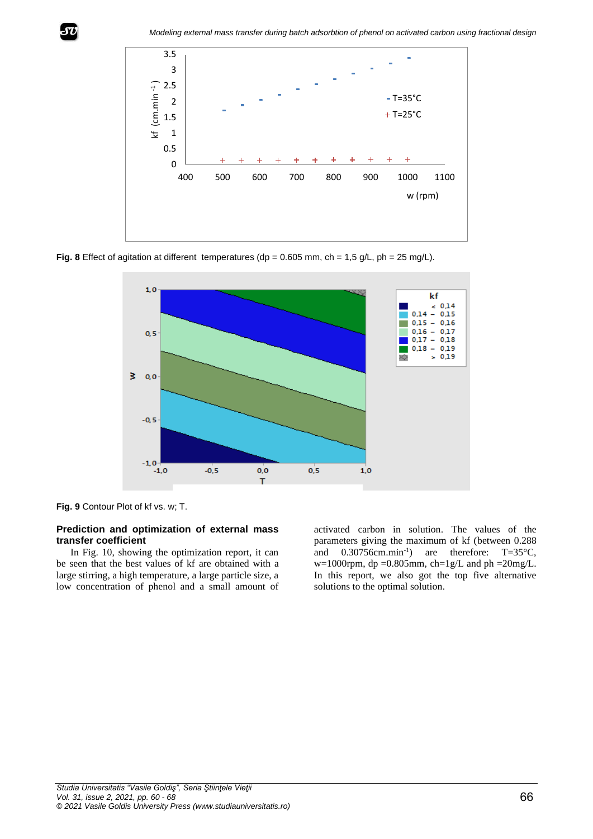

Fig. 8 Effect of agitation at different temperatures ( $dp = 0.605$  mm,  $ch = 1.5$  g/L,  $ph = 25$  mg/L).



**Fig. 9** Contour Plot of kf vs. w; T.

## **Prediction and optimization of external mass transfer coefficient**

In Fig. 10, showing the optimization report, it can be seen that the best values of kf are obtained with a large stirring, a high temperature, a large particle size, a low concentration of phenol and a small amount of activated carbon in solution. The values of the parameters giving the maximum of kf (between 0.288 and 0.30756cm.min<sup>-1</sup>) are therefore: T=35°C,  $w=1000$ rpm, dp =0.805mm, ch=1g/L and ph =20mg/L. In this report, we also got the top five alternative solutions to the optimal solution.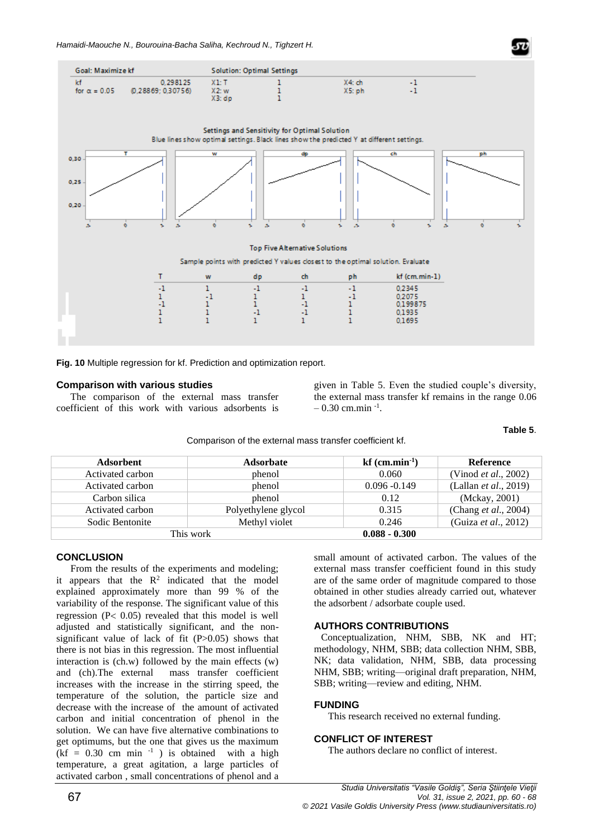

**Fig. 10** Multiple regression for kf. Prediction and optimization report.

### **Comparison with various studies**

The comparison of the external mass transfer coefficient of this work with various adsorbents is

given in Table 5. Even the studied couple's diversity, the external mass transfer kf remains in the range 0.06  $-0.30$  cm.min<sup>-1</sup>.

**Table 5**.

Comparison of the external mass transfer coefficient kf.

| <b>Adsorbent</b>                 | <b>Adsorbate</b>    | $kf$ (cm.min <sup>-1</sup> ) | <b>Reference</b>              |
|----------------------------------|---------------------|------------------------------|-------------------------------|
| Activated carbon                 | phenol              | 0.060                        | (Vinod <i>et al.</i> , 2002)  |
| Activated carbon                 | phenol              | $0.096 - 0.149$              | (Lallan <i>et al.</i> , 2019) |
| Carbon silica                    | phenol              | 0.12                         | (Mckay, 2001)                 |
| Activated carbon                 | Polyethylene glycol | 0.315                        | (Chang et al., 2004)          |
| Methyl violet<br>Sodic Bentonite |                     | 0.246                        | (Guiza et al., 2012)          |
|                                  | This work           | $0.088 - 0.300$              |                               |
|                                  |                     |                              |                               |

## **CONCLUSION**

From the results of the experiments and modeling; it appears that the  $R^2$  indicated that the model explained approximately more than 99 % of the variability of the response. The significant value of this regression ( $P < 0.05$ ) revealed that this model is well adjusted and statistically significant, and the nonsignificant value of lack of fit (P>0.05) shows that there is not bias in this regression. The most influential interaction is (ch.w) followed by the main effects (w) and (ch).The external mass transfer coefficient increases with the increase in the stirring speed, the temperature of the solution, the particle size and decrease with the increase of the amount of activated carbon and initial concentration of phenol in the solution. We can have five alternative combinations to get optimums, but the one that gives us the maximum  $(kf = 0.30$  cm min<sup>-1</sup>) is obtained with a high temperature, a great agitation, a large particles of activated carbon , small concentrations of phenol and a

small amount of activated carbon. The values of the external mass transfer coefficient found in this study are of the same order of magnitude compared to those obtained in other studies already carried out, whatever the adsorbent / adsorbate couple used.

## **AUTHORS CONTRIBUTIONS**

Conceptualization, NHM, SBB, NK and HT; methodology, NHM, SBB; data collection NHM, SBB, NK; data validation, NHM, SBB, data processing NHM, SBB; writing—original draft preparation, NHM, SBB; writing—review and editing, NHM.

## **FUNDING**

This research received no external funding.

## **CONFLICT OF INTEREST**

The authors declare no conflict of interest.